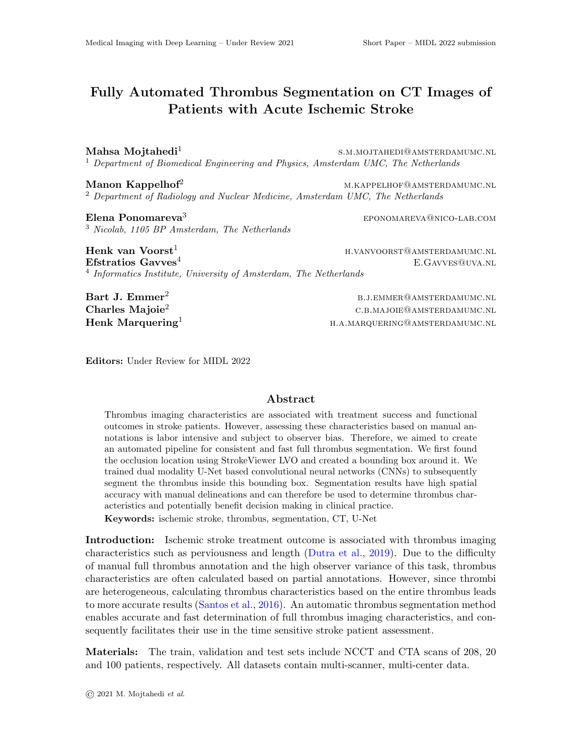## Fully Automated Thrombus Segmentation on CT Images of Patients with Acute Ischemic Stroke

Mahsa Mojtahedi<sup>1</sup> s.m.mojtahedi@amsterdamumc.nl <sup>1</sup> Department of Biomedical Engineering and Physics, Amsterdam UMC, The Netherlands

Manon Kappelhof<sup>2</sup> m.k.appelhof<sup>2</sup> m.kappelhof<sup>2</sup> m.kappelhof<sup>2</sup> m.kappelhof<sup>2</sup> <sup>2</sup> Department of Radiology and Nuclear Medicine, Amsterdam UMC, The Netherlands

Elena Ponomareva<sup>3</sup> eponomareva<sup>3</sup> eponomareva<sup>3</sup> eponomareva<sup>®</sup>nico-lab.com <sup>3</sup> Nicolab, 1105 BP Amsterdam, The Netherlands

Henk van Voorst<sup>1</sup> h.vanvoorst@amsterdamumc.nl **Efstratios Gavves**<sup>4</sup> **E.GAVVES@UVA.NL** <sup>4</sup> Informatics Institute, University of Amsterdam, The Netherlands

Bart J. Emmer<sup>2</sup> b.j.emmer@amsterdamumc.nl Charles Majoie<sup>2</sup> c.b.majoie c.b.majoie c.b.majoie c.b.majoie c.b.majoie c.b.majoie c.b.majoie c.b.majoie c.b.majoie c.b.majoie c.b.majoie c.b.majoie c.b.majoie c.b.majoie c.b.majoie c.b.majoie c.b.majoie c.b.majoie c.b.ma  $\textbf{Henk}$  Marquering<sup>1</sup> h.a.marquering@amsterdamumc.nl

Editors: Under Review for MIDL 2022

## Abstract

Thrombus imaging characteristics are associated with treatment success and functional outcomes in stroke patients. However, assessing these characteristics based on manual annotations is labor intensive and subject to observer bias. Therefore, we aimed to create an automated pipeline for consistent and fast full thrombus segmentation. We first found the occlusion location using StrokeViewer LVO and created a bounding box around it. We trained dual modality U-Net based convolutional neural networks (CNNs) to subsequently segment the thrombus inside this bounding box. Segmentation results have high spatial accuracy with manual delineations and can therefore be used to determine thrombus characteristics and potentially benefit decision making in clinical practice.

Keywords: ischemic stroke, thrombus, segmentation, CT, U-Net

Introduction: Ischemic stroke treatment outcome is associated with thrombus imaging characteristics such as perviousness and length [\(Dutra et al.,](#page-2-0) [2019\)](#page-2-0). Due to the difficulty of manual full thrombus annotation and the high observer variance of this task, thrombus characteristics are often calculated based on partial annotations. However, since thrombi are heterogeneous, calculating thrombus characteristics based on the entire thrombus leads to more accurate results [\(Santos et al.,](#page-2-1) [2016\)](#page-2-1). An automatic thrombus segmentation method enables accurate and fast determination of full thrombus imaging characteristics, and consequently facilitates their use in the time sensitive stroke patient assessment.

Materials: The train, validation and test sets include NCCT and CTA scans of 208, 20 and 100 patients, respectively. All datasets contain multi-scanner, multi-center data.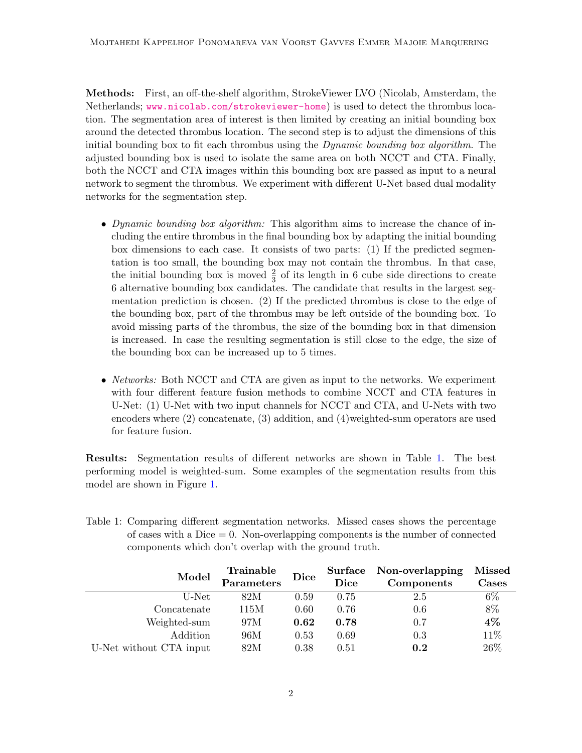Methods: First, an off-the-shelf algorithm, StrokeViewer LVO (Nicolab, Amsterdam, the Netherlands; <www.nicolab.com/strokeviewer-home>) is used to detect the thrombus location. The segmentation area of interest is then limited by creating an initial bounding box around the detected thrombus location. The second step is to adjust the dimensions of this initial bounding box to fit each thrombus using the *Dynamic bounding box algorithm*. The adjusted bounding box is used to isolate the same area on both NCCT and CTA. Finally, both the NCCT and CTA images within this bounding box are passed as input to a neural network to segment the thrombus. We experiment with different U-Net based dual modality networks for the segmentation step.

- Dynamic bounding box algorithm: This algorithm aims to increase the chance of including the entire thrombus in the final bounding box by adapting the initial bounding box dimensions to each case. It consists of two parts: (1) If the predicted segmentation is too small, the bounding box may not contain the thrombus. In that case, the initial bounding box is moved  $\frac{2}{3}$  of its length in 6 cube side directions to create 6 alternative bounding box candidates. The candidate that results in the largest segmentation prediction is chosen. (2) If the predicted thrombus is close to the edge of the bounding box, part of the thrombus may be left outside of the bounding box. To avoid missing parts of the thrombus, the size of the bounding box in that dimension is increased. In case the resulting segmentation is still close to the edge, the size of the bounding box can be increased up to 5 times.
- *Networks:* Both NCCT and CTA are given as input to the networks. We experiment with four different feature fusion methods to combine NCCT and CTA features in U-Net: (1) U-Net with two input channels for NCCT and CTA, and U-Nets with two encoders where (2) concatenate, (3) addition, and (4)weighted-sum operators are used for feature fusion.

Results: Segmentation results of different networks are shown in Table [1.](#page-1-0) The best performing model is weighted-sum. Some examples of the segmentation results from this model are shown in Figure [1.](#page-2-2)

<span id="page-1-0"></span>

| Table 1: Comparing different segmentation networks. Missed cases shows the percentage |  |  |
|---------------------------------------------------------------------------------------|--|--|
| of cases with a Dice $= 0$ . Non-overlapping components is the number of connected    |  |  |
| components which don't overlap with the ground truth.                                 |  |  |

| Model                   | Trainable  | Dice | Surface | Non-overlapping | <b>Missed</b> |
|-------------------------|------------|------|---------|-----------------|---------------|
|                         | Parameters |      | Dice    | Components      | Cases         |
| U-Net                   | 82M        | 0.59 | 0.75    | 2.5             | $6\%$         |
| Concatenate             | 115M       | 0.60 | 0.76    | 0.6             | 8%            |
| Weighted-sum            | 97M        | 0.62 | 0.78    | 0.7             | $4\%$         |
| Addition                | 96M        | 0.53 | 0.69    | 0.3             | 11%           |
| U-Net without CTA input | 82M        | 0.38 | 0.51    | 0.2             | 26%           |